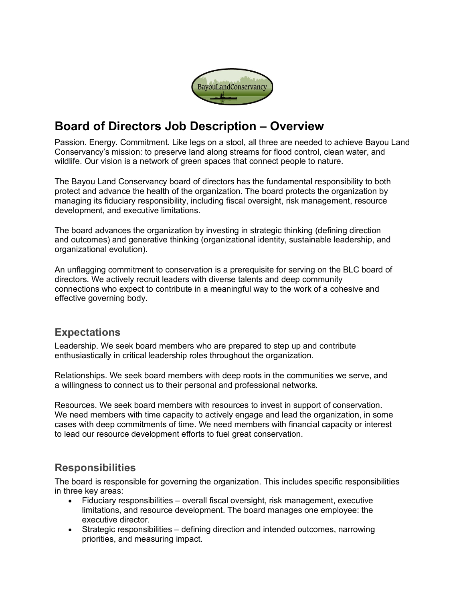

# **Board of Directors Job Description – Overview**

Passion. Energy. Commitment. Like legs on a stool, all three are needed to achieve Bayou Land Conservancy's mission: to preserve land along streams for flood control, clean water, and wildlife. Our vision is a network of green spaces that connect people to nature.

The Bayou Land Conservancy board of directors has the fundamental responsibility to both protect and advance the health of the organization. The board protects the organization by managing its fiduciary responsibility, including fiscal oversight, risk management, resource development, and executive limitations.

The board advances the organization by investing in strategic thinking (defining direction and outcomes) and generative thinking (organizational identity, sustainable leadership, and organizational evolution).

An unflagging commitment to conservation is a prerequisite for serving on the BLC board of directors. We actively recruit leaders with diverse talents and deep community connections who expect to contribute in a meaningful way to the work of a cohesive and effective governing body.

## **Expectations**

Leadership. We seek board members who are prepared to step up and contribute enthusiastically in critical leadership roles throughout the organization.

Relationships. We seek board members with deep roots in the communities we serve, and a willingness to connect us to their personal and professional networks.

Resources. We seek board members with resources to invest in support of conservation. We need members with time capacity to actively engage and lead the organization, in some cases with deep commitments of time. We need members with financial capacity or interest to lead our resource development efforts to fuel great conservation.

## **Responsibilities**

The board is responsible for governing the organization. This includes specific responsibilities in three key areas:

- Fiduciary responsibilities overall fiscal oversight, risk management, executive limitations, and resource development. The board manages one employee: the executive director.
- Strategic responsibilities defining direction and intended outcomes, narrowing priorities, and measuring impact.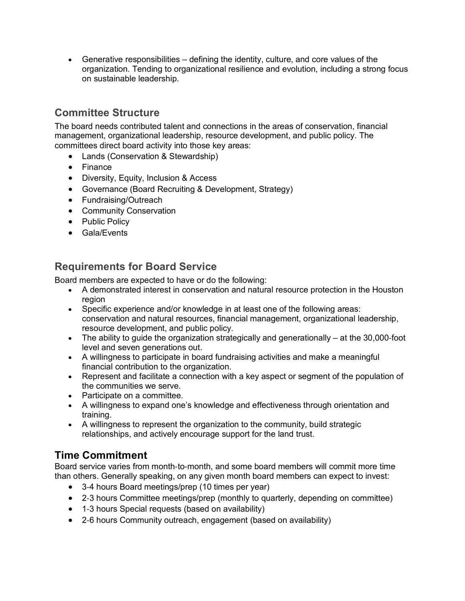• Generative responsibilities – defining the identity, culture, and core values of the organization. Tending to organizational resilience and evolution, including a strong focus on sustainable leadership.

# **Committee Structure**

The board needs contributed talent and connections in the areas of conservation, financial management, organizational leadership, resource development, and public policy. The committees direct board activity into those key areas:

- Lands (Conservation & Stewardship)
- Finance
- Diversity, Equity, Inclusion & Access
- Governance (Board Recruiting & Development, Strategy)
- Fundraising/Outreach
- Community Conservation
- Public Policy
- Gala/Events

#### **Requirements for Board Service**

Board members are expected to have or do the following:

- A demonstrated interest in conservation and natural resource protection in the Houston region
- Specific experience and/or knowledge in at least one of the following areas: conservation and natural resources, financial management, organizational leadership, resource development, and public policy.
- The ability to guide the organization strategically and generationally at the 30,000-foot level and seven generations out.
- A willingness to participate in board fundraising activities and make a meaningful financial contribution to the organization.
- Represent and facilitate a connection with a key aspect or segment of the population of the communities we serve.
- Participate on a committee.
- A willingness to expand one's knowledge and effectiveness through orientation and training.
- A willingness to represent the organization to the community, build strategic relationships, and actively encourage support for the land trust.

## **Time Commitment**

Board service varies from month‐to‐month, and some board members will commit more time than others. Generally speaking, on any given month board members can expect to invest:

- 3-4 hours Board meetings/prep (10 times per year)
- 2-3 hours Committee meetings/prep (monthly to quarterly, depending on committee)
- 1-3 hours Special requests (based on availability)
- 2-6 hours Community outreach, engagement (based on availability)